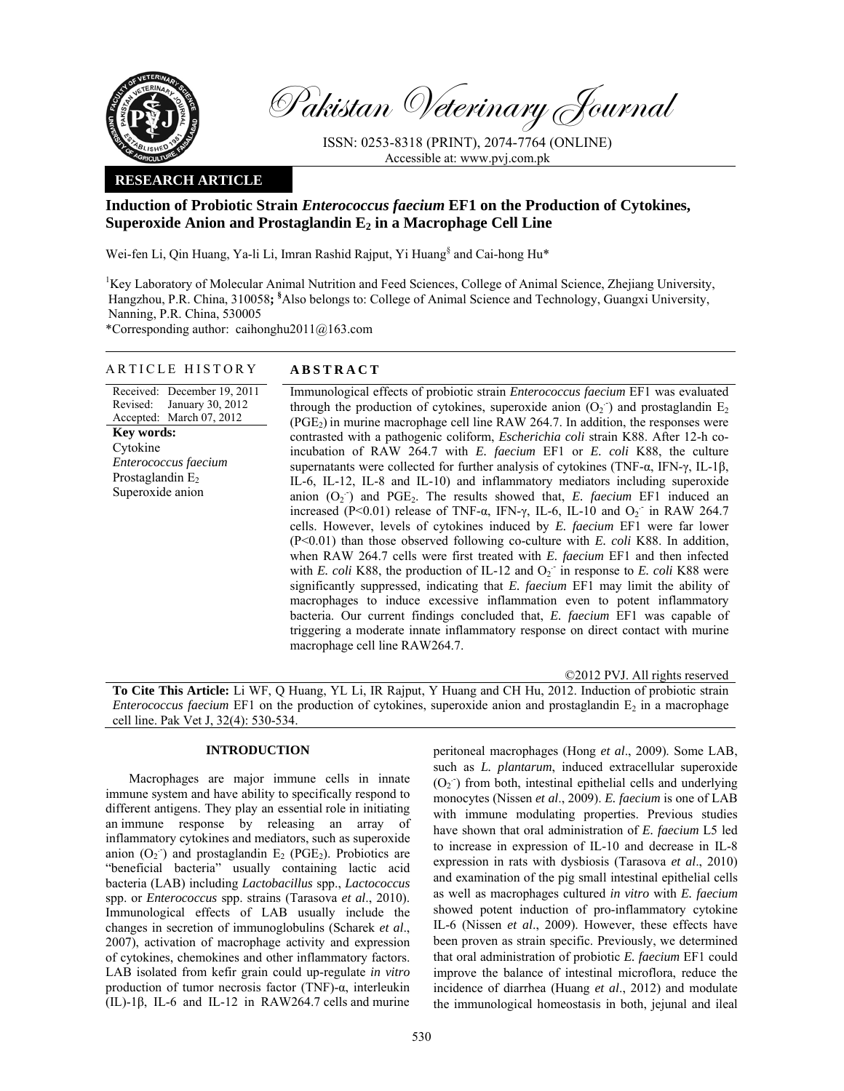

Pakistan Veterinary Journal

ISSN: 0253-8318 (PRINT), 2074-7764 (ONLINE) Accessible at: www.pvj.com.pk

## **RESEARCH ARTICLE**

# **Induction of Probiotic Strain** *Enterococcus faecium* **EF1 on the Production of Cytokines,**  Superoxide Anion and Prostaglandin E<sub>2</sub> in a Macrophage Cell Line

Wei-fen Li, Qin Huang, Ya-li Li, Imran Rashid Rajput, Yi Huang<sup>§</sup> and Cai-hong Hu<sup>\*</sup>

<sup>1</sup>Key Laboratory of Molecular Animal Nutrition and Feed Sciences, College of Animal Science, Zhejiang University, Hangzhou, P.R. China, 310058**; §** Also belongs to: College of Animal Science and Technology, Guangxi University, Nanning, P.R. China, 530005

\*Corresponding author:caihonghu2011@163.com

## ARTICLE HISTORY **ABSTRACT**

Received: December 19, 2011 Revised: Accepted: March 07, 2012 January 30, 2012 **Key words:**  Cytokine *Enterococcus faecium*  Prostaglandin  $E_2$ Superoxide anion

Immunological effects of probiotic strain *Enterococcus faecium* EF1 was evaluated through the production of cytokines, superoxide anion  $(O_2$  ) and prostaglandin  $E_2$  $(PGE<sub>2</sub>)$  in murine macrophage cell line RAW 264.7. In addition, the responses were contrasted with a pathogenic coliform, *Escherichia coli* strain K88. After 12-h coincubation of RAW 264.7 with *E. faecium* EF1 or *E. coli* K88, the culture supernatants were collected for further analysis of cytokines (TNF-α, IFN-γ, IL-1β, IL-6, IL-12, IL-8 and IL-10) and inflammatory mediators including superoxide anion  $(O_2$ <sup>-</sup>) and PGE<sub>2</sub>. The results showed that, *E. faecium* EF1 induced an increased (P<0.01) release of TNF- $\alpha$ , IFN- $\gamma$ , IL-6, IL-10 and O<sub>2</sub> in RAW 264.7 cells. However, levels of cytokines induced by *E. faecium* EF1 were far lower (P<0.01) than those observed following co-culture with *E. coli* K88. In addition, when RAW 264.7 cells were first treated with *E. faecium* EF1 and then infected with *E. coli* K88, the production of IL-12 and  $O_2$ <sup>-</sup> in response to *E. coli* K88 were significantly suppressed, indicating that *E. faecium* EF1 may limit the ability of macrophages to induce excessive inflammation even to potent inflammatory bacteria. Our current findings concluded that, *E. faecium* EF1 was capable of triggering a moderate innate inflammatory response on direct contact with murine macrophage cell line RAW264.7.

©2012 PVJ. All rights reserved

**To Cite This Article:** Li WF, Q Huang, YL Li, IR Rajput, Y Huang and CH Hu, 2012. Induction of probiotic strain *Enterococcus faecium* EF1 on the production of cytokines, superoxide anion and prostaglandin  $E_2$  in a macrophage cell line. Pak Vet J, 32(4): 530-534.

## **INTRODUCTION**

Macrophages are major immune cells in innate immune system and have ability to specifically respond to different antigens. They play an essential role in initiating an immune response by releasing an array of inflammatory cytokines and mediators, such as superoxide anion  $(O_2)$  and prostaglandin  $E_2$  (PGE<sub>2</sub>). Probiotics are "beneficial bacteria" usually containing lactic acid bacteria (LAB) including *Lactobacillus* spp., *Lactococcus* spp. or *Enterococcus* spp. strains (Tarasova *et al*., 2010). Immunological effects of LAB usually include the changes in secretion of immunoglobulins (Scharek *et al*., 2007), activation of macrophage activity and expression of cytokines, chemokines and other inflammatory factors. LAB isolated from kefir grain could up-regulate *in vitro* production of tumor necrosis factor (TNF)-α, interleukin (IL)-1β, IL-6 and IL-12 in RAW264.7 cells and murine

peritoneal macrophages (Hong *et al*., 2009). Some LAB, such as *L. plantarum*, induced extracellular superoxide  $(O<sub>2</sub>)$  from both, intestinal epithelial cells and underlying monocytes (Nissen *et al*., 2009). *E. faecium* is one of LAB with immune modulating properties. Previous studies have shown that oral administration of *E. faecium* L5 led to increase in expression of IL-10 and decrease in IL-8 expression in rats with dysbiosis (Tarasova *et al*., 2010) and examination of the pig small intestinal epithelial cells as well as macrophages cultured *in vitro* with *E. faecium* showed potent induction of pro-inflammatory cytokine IL-6 (Nissen *et al*., 2009). However, these effects have been proven as strain specific. Previously, we determined that oral administration of probiotic *E. faecium* EF1 could improve the balance of intestinal microflora, reduce the incidence of diarrhea (Huang *et al*., 2012) and modulate the immunological homeostasis in both, jejunal and ileal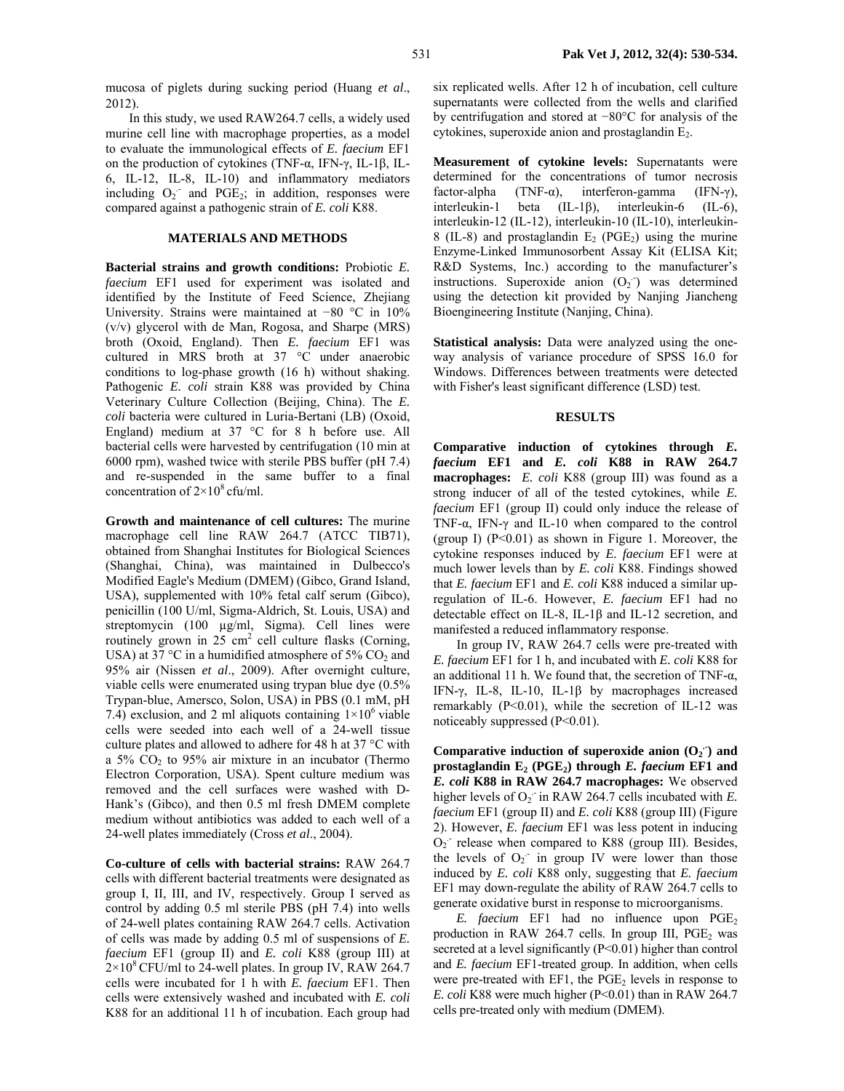mucosa of piglets during sucking period (Huang *et al*., 2012).

In this study, we used RAW264.7 cells, a widely used murine cell line with macrophage properties, as a model to evaluate the immunological effects of *E. faecium* EF1 on the production of cytokines (TNF-α, IFN-γ, IL-1β, IL-6, IL-12, IL-8, IL-10) and inflammatory mediators including  $O_2$  and PGE<sub>2</sub>; in addition, responses were compared against a pathogenic strain of *E. coli* K88.

### **MATERIALS AND METHODS**

**Bacterial strains and growth conditions:** Probiotic *E. faecium* EF1 used for experiment was isolated and identified by the Institute of Feed Science, Zhejiang University. Strains were maintained at −80 °C in 10% (v/v) glycerol with de Man, Rogosa, and Sharpe (MRS) broth (Oxoid, England). Then *E. faecium* EF1 was cultured in MRS broth at 37 °C under anaerobic conditions to log-phase growth (16 h) without shaking. Pathogenic *E. coli* strain K88 was provided by China Veterinary Culture Collection (Beijing, China). The *E. coli* bacteria were cultured in Luria-Bertani (LB) (Oxoid, England) medium at 37 °C for 8 h before use. All bacterial cells were harvested by centrifugation (10 min at 6000 rpm), washed twice with sterile PBS buffer (pH 7.4) and re-suspended in the same buffer to a final concentration of  $2 \times 10^8$  cfu/ml.

**Growth and maintenance of cell cultures:** The murine macrophage cell line RAW 264.7 (ATCC TIB71), obtained from Shanghai Institutes for Biological Sciences (Shanghai, China), was maintained in Dulbecco's Modified Eagle's Medium (DMEM) (Gibco, Grand Island, USA), supplemented with 10% fetal calf serum (Gibco), penicillin (100 U/ml, Sigma-Aldrich, St. Louis, USA) and streptomycin (100 µg/ml, Sigma). Cell lines were routinely grown in  $25 \text{ cm}^2$  cell culture flasks (Corning, USA) at 37 °C in a humidified atmosphere of 5%  $CO<sub>2</sub>$  and 95% air (Nissen *et al*., 2009). After overnight culture, viable cells were enumerated using trypan blue dye (0.5% Trypan-blue, Amersco, Solon, USA) in PBS (0.1 mM, pH 7.4) exclusion, and 2 ml aliquots containing  $1\times10^6$  viable cells were seeded into each well of a 24-well tissue culture plates and allowed to adhere for 48 h at 37 °C with a  $5\%$  CO<sub>2</sub> to  $95\%$  air mixture in an incubator (Thermo Electron Corporation, USA). Spent culture medium was removed and the cell surfaces were washed with D-Hank's (Gibco), and then 0.5 ml fresh DMEM complete medium without antibiotics was added to each well of a 24-well plates immediately (Cross *et al*., 2004).

**Co-culture of cells with bacterial strains:** RAW 264.7 cells with different bacterial treatments were designated as group I, II, III, and IV, respectively. Group I served as control by adding 0.5 ml sterile PBS (pH 7.4) into wells of 24-well plates containing RAW 264.7 cells. Activation of cells was made by adding 0.5 ml of suspensions of *E. faecium* EF1 (group II) and *E. coli* K88 (group III) at  $2\times10^8$  CFU/ml to 24-well plates. In group IV, RAW 264.7 cells were incubated for 1 h with *E. faecium* EF1. Then cells were extensively washed and incubated with *E. coli* K88 for an additional 11 h of incubation. Each group had

six replicated wells. After 12 h of incubation, cell culture supernatants were collected from the wells and clarified by centrifugation and stored at −80°C for analysis of the cytokines, superoxide anion and prostaglandin  $E_2$ .

**Measurement of cytokine levels:** Supernatants were determined for the concentrations of tumor necrosis factor-alpha (TNF-α), interferon-gamma (IFN-γ), interleukin-1 beta (IL-1β), interleukin-6 (IL-6), interleukin-12 (IL-12), interleukin-10 (IL-10), interleukin-8 (IL-8) and prostaglandin  $E_2$  (PGE<sub>2</sub>) using the murine Enzyme-Linked Immunosorbent Assay Kit (ELISA Kit; R&D Systems, Inc.) according to the manufacturer's instructions. Superoxide anion  $(O_2)$  was determined using the detection kit provided by Nanjing Jiancheng Bioengineering Institute (Nanjing, China).

**Statistical analysis:** Data were analyzed using the oneway analysis of variance procedure of SPSS 16.0 for Windows. Differences between treatments were detected with Fisher's least significant difference (LSD) test.

#### **RESULTS**

**Comparative induction of cytokines through** *E. faecium* **EF1 and** *E. coli* **K88 in RAW 264.7 macrophages:** *E. coli* K88 (group III) was found as a strong inducer of all of the tested cytokines, while *E. faecium* EF1 (group II) could only induce the release of TNF-α, IFN-γ and IL-10 when compared to the control (group I) (P<0.01) as shown in Figure 1. Moreover, the cytokine responses induced by *E. faecium* EF1 were at much lower levels than by *E. coli* K88. Findings showed that *E. faecium* EF1 and *E. coli* K88 induced a similar upregulation of IL-6. However, *E. faecium* EF1 had no detectable effect on IL-8, IL-1β and IL-12 secretion, and manifested a reduced inflammatory response.

In group IV, RAW 264.7 cells were pre-treated with *E. faecium* EF1 for 1 h, and incubated with *E. coli* K88 for an additional 11 h. We found that, the secretion of TNF- $\alpha$ , IFN-γ, IL-8, IL-10, IL-1β by macrophages increased remarkably (P<0.01), while the secretion of IL-12 was noticeably suppressed (P<0.01).

Comparative induction of superoxide anion  $(O_2)$  and **prostaglandin E2 (PGE2) through** *E. faecium* **EF1 and**  *E. coli* **K88 in RAW 264.7 macrophages:** We observed higher levels of  $O_2$  in RAW 264.7 cells incubated with *E*. *faecium* EF1 (group II) and *E. coli* K88 (group III) (Figure 2). However, *E. faecium* EF1 was less potent in inducing  $O_2$  release when compared to K88 (group III). Besides, the levels of  $O_2$  in group IV were lower than those induced by *E. coli* K88 only, suggesting that *E. faecium* EF1 may down-regulate the ability of RAW 264.7 cells to generate oxidative burst in response to microorganisms.

*E. faecium* EF1 had no influence upon  $PGE_2$ production in RAW 264.7 cells. In group III,  $PGE<sub>2</sub>$  was secreted at a level significantly (P<0.01) higher than control and *E. faecium* EF1-treated group. In addition, when cells were pre-treated with  $EFI$ , the  $PGE<sub>2</sub>$  levels in response to *E. coli* K88 were much higher (P<0.01) than in RAW 264.7 cells pre-treated only with medium (DMEM).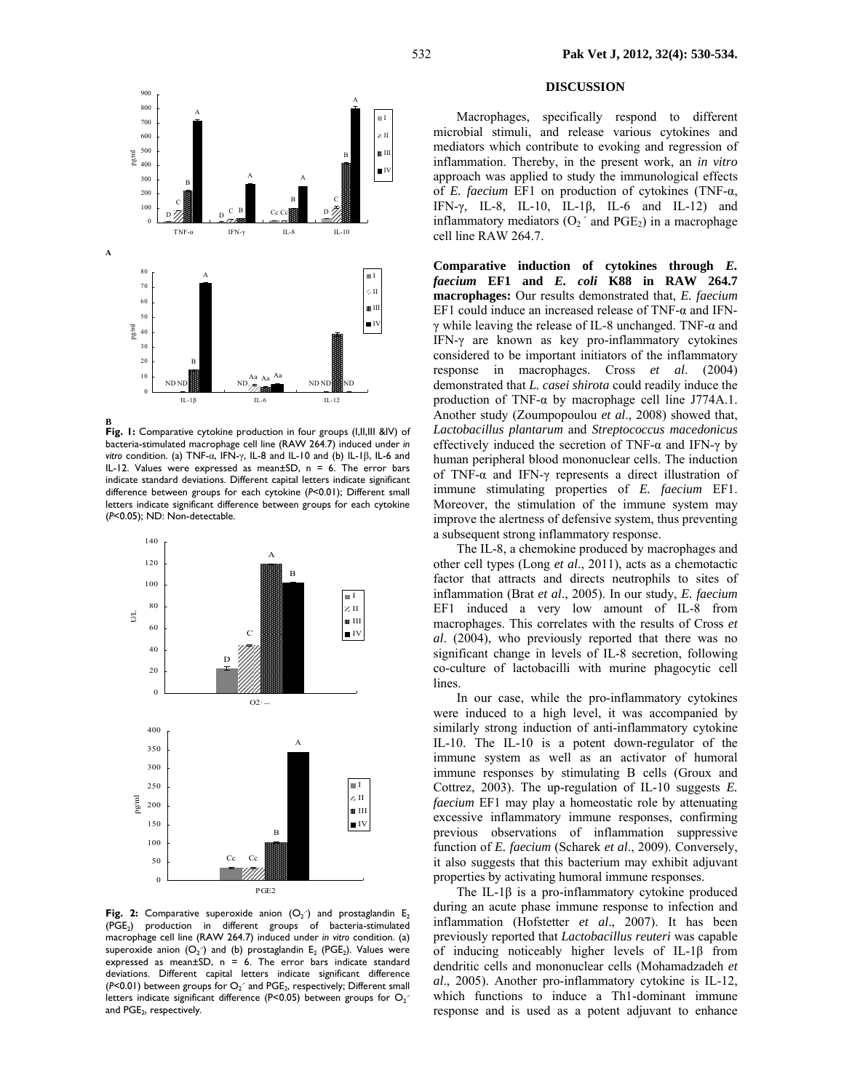

**B** 

Fig. 1: Comparative cytokine production in four groups (I,II,III &IV) of bacteria-stimulated macrophage cell line (RAW 264.7) induced under *in vitro* condition. (a) TNF-α, IFN-γ, IL-8 and IL-10 and (b) IL-1β, IL-6 and IL-12. Values were expressed as mean $\pm$ SD, n = 6. The error bars indicate standard deviations. Different capital letters indicate significant difference between groups for each cytokine (*P*<0.01); Different small letters indicate significant difference between groups for each cytokine (*P*<0.05); ND: Non-detectable.



**Fig. 2:** Comparative superoxide anion  $(O_2)$  and prostaglandin  $E_2$ (PGE2) production in different groups of bacteria-stimulated macrophage cell line (RAW 264.7) induced under *in vitro* condition. (a) superoxide anion  $(O_2)$  and (b) prostaglandin  $E_2$  (PGE<sub>2</sub>). Values were expressed as mean $\pm$ SD, n = 6. The error bars indicate standard deviations. Different capital letters indicate significant difference  $(P<0.01)$  between groups for  $O_2$  and  $PGE_2$ , respectively; Different small letters indicate significant difference (P<0.05) between groups for  $O_2$ and PGE<sub>2</sub>, respectively.

## **DISCUSSION**

Macrophages, specifically respond to different microbial stimuli, and release various cytokines and mediators which contribute to evoking and regression of inflammation. Thereby, in the present work, an *in vitro* approach was applied to study the immunological effects of *E. faecium* EF1 on production of cytokines (TNF-α, IFN-γ, IL-8, IL-10, IL-1β, IL-6 and IL-12) and inflammatory mediators  $(O_2 \cdot \text{and} PGE_2)$  in a macrophage cell line RAW 264.7.

**Comparative induction of cytokines through** *E. faecium* **EF1 and** *E. coli* **K88 in RAW 264.7 macrophages:** Our results demonstrated that, *E. faecium*  EF1 could induce an increased release of TNF- $\alpha$  and IFNγ while leaving the release of IL-8 unchanged. TNF-α and IFN-γ are known as key pro-inflammatory cytokines considered to be important initiators of the inflammatory response in macrophages. Cross *et al*. (2004) demonstrated that *L. casei shirota* could readily induce the production of TNF- $\alpha$  by macrophage cell line J774A.1. Another study (Zoumpopoulou *et al*., 2008) showed that, *Lactobacillus plantarum* and *Streptococcus macedonicus* effectively induced the secretion of TNF- $\alpha$  and IFN- $\gamma$  by human peripheral blood mononuclear cells. The induction of TNF-α and IFN-γ represents a direct illustration of immune stimulating properties of *E. faecium* EF1. Moreover, the stimulation of the immune system may improve the alertness of defensive system, thus preventing a subsequent strong inflammatory response.

The IL-8, a chemokine produced by macrophages and other cell types (Long *et al*., 2011), acts as a chemotactic factor that attracts and directs neutrophils to sites of inflammation (Brat *et al*., 2005). In our study, *E. faecium*  EF1 induced a very low amount of IL-8 from macrophages. This correlates with the results of Cross *et al*. (2004), who previously reported that there was no significant change in levels of IL-8 secretion, following co-culture of lactobacilli with murine phagocytic cell lines.

In our case, while the pro-inflammatory cytokines were induced to a high level, it was accompanied by similarly strong induction of anti-inflammatory cytokine IL-10. The IL-10 is a potent down-regulator of the immune system as well as an activator of humoral immune responses by stimulating B cells (Groux and Cottrez, 2003). The up-regulation of IL-10 suggests *E. faecium* EF1 may play a homeostatic role by attenuating excessive inflammatory immune responses, confirming previous observations of inflammation suppressive function of *E. faecium* (Scharek *et al*., 2009). Conversely, it also suggests that this bacterium may exhibit adjuvant properties by activating humoral immune responses.

The IL-1 $\beta$  is a pro-inflammatory cytokine produced during an acute phase immune response to infection and inflammation (Hofstetter *et al*., 2007). It has been previously reported that *Lactobacillus reuteri* was capable of inducing noticeably higher levels of IL-1β from dendritic cells and mononuclear cells (Mohamadzadeh *et al*., 2005). Another pro-inflammatory cytokine is IL-12, which functions to induce a Th1-dominant immune response and is used as a potent adjuvant to enhance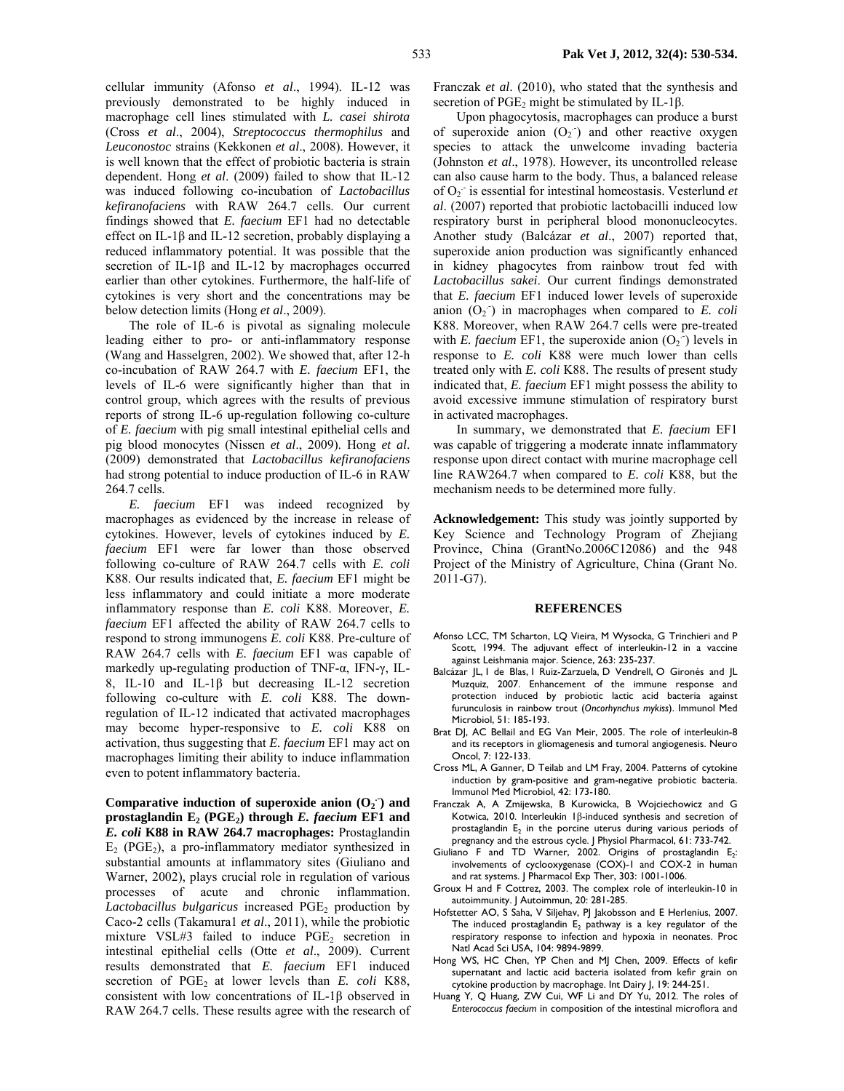cellular immunity (Afonso *et al*., 1994). IL-12 was previously demonstrated to be highly induced in macrophage cell lines stimulated with *L. casei shirota* (Cross *et al*., 2004), *Streptococcus thermophilus* and *Leuconostoc* strains (Kekkonen *et al*., 2008). However, it is well known that the effect of probiotic bacteria is strain dependent. Hong *et al*. (2009) failed to show that IL-12 was induced following co-incubation of *Lactobacillus kefiranofaciens* with RAW 264.7 cells. Our current findings showed that *E. faecium* EF1 had no detectable effect on IL-1β and IL-12 secretion, probably displaying a reduced inflammatory potential. It was possible that the secretion of IL-1β and IL-12 by macrophages occurred earlier than other cytokines. Furthermore, the half-life of cytokines is very short and the concentrations may be below detection limits (Hong *et al*., 2009).

The role of IL-6 is pivotal as signaling molecule leading either to pro- or anti-inflammatory response (Wang and Hasselgren, 2002). We showed that, after 12-h co-incubation of RAW 264.7 with *E. faecium* EF1, the levels of IL-6 were significantly higher than that in control group, which agrees with the results of previous reports of strong IL-6 up-regulation following co-culture of *E. faecium* with pig small intestinal epithelial cells and pig blood monocytes (Nissen *et al*., 2009). Hong *et al*. (2009) demonstrated that *Lactobacillus kefiranofaciens* had strong potential to induce production of IL-6 in RAW 264.7 cells.

*E. faecium* EF1 was indeed recognized by macrophages as evidenced by the increase in release of cytokines. However, levels of cytokines induced by *E. faecium* EF1 were far lower than those observed following co-culture of RAW 264.7 cells with *E. coli* K88. Our results indicated that, *E. faecium* EF1 might be less inflammatory and could initiate a more moderate inflammatory response than *E. coli* K88. Moreover, *E. faecium* EF1 affected the ability of RAW 264.7 cells to respond to strong immunogens *E. coli* K88. Pre-culture of RAW 264.7 cells with *E. faecium* EF1 was capable of markedly up-regulating production of TNF-α, IFN-γ, IL-8, IL-10 and IL-1β but decreasing IL-12 secretion following co-culture with *E. coli* K88. The downregulation of IL-12 indicated that activated macrophages may become hyper-responsive to *E. coli* K88 on activation, thus suggesting that *E. faecium* EF1 may act on macrophages limiting their ability to induce inflammation even to potent inflammatory bacteria.

Comparative induction of superoxide anion  $(O_2)$  and **prostaglandin E2 (PGE2) through** *E. faecium* **EF1 and**  *E. coli* **K88 in RAW 264.7 macrophages:** Prostaglandin  $E<sub>2</sub>$  (PGE<sub>2</sub>), a pro-inflammatory mediator synthesized in substantial amounts at inflammatory sites (Giuliano and Warner, 2002), plays crucial role in regulation of various processes of acute and chronic inflammation. Lactobacillus bulgaricus increased PGE<sub>2</sub> production by Caco-2 cells (Takamura1 *et al*., 2011), while the probiotic mixture VSL#3 failed to induce  $PGE_2$  secretion in intestinal epithelial cells (Otte *et al*., 2009). Current results demonstrated that *E. faecium* EF1 induced secretion of PGE<sub>2</sub> at lower levels than *E. coli* K88, consistent with low concentrations of IL-1β observed in RAW 264.7 cells. These results agree with the research of Franczak *et al*. (2010), who stated that the synthesis and secretion of PGE<sub>2</sub> might be stimulated by IL-1β.

Upon phagocytosis, macrophages can produce a burst of superoxide anion  $(O_2$ ) and other reactive oxygen species to attack the unwelcome invading bacteria (Johnston *et al*., 1978). However, its uncontrolled release can also cause harm to the body. Thus, a balanced release of O2 .- is essential for intestinal homeostasis. Vesterlund *et al*. (2007) reported that probiotic lactobacilli induced low respiratory burst in peripheral blood mononucleocytes. Another study (Balcázar *et al*., 2007) reported that, superoxide anion production was significantly enhanced in kidney phagocytes from rainbow trout fed with *Lactobacillus sakei*. Our current findings demonstrated that *E. faecium* EF1 induced lower levels of superoxide anion  $(O_2)$  in macrophages when compared to *E. coli* K88. Moreover, when RAW 264.7 cells were pre-treated with *E. faecium* EF1, the superoxide anion  $(O_2)$  levels in response to *E. coli* K88 were much lower than cells treated only with *E. coli* K88. The results of present study indicated that, *E. faecium* EF1 might possess the ability to avoid excessive immune stimulation of respiratory burst in activated macrophages.

In summary, we demonstrated that *E. faecium* EF1 was capable of triggering a moderate innate inflammatory response upon direct contact with murine macrophage cell line RAW264.7 when compared to *E. coli* K88, but the mechanism needs to be determined more fully.

**Acknowledgement:** This study was jointly supported by Key Science and Technology Program of Zhejiang Province, China (GrantNo.2006C12086) and the 948 Project of the Ministry of Agriculture, China (Grant No. 2011-G7).

#### **REFERENCES**

- Afonso LCC, TM Scharton, LQ Vieira, M Wysocka, G Trinchieri and P Scott, 1994. The adjuvant effect of interleukin-12 in a vaccine against Leishmania major. Science, 263: 235-237.
- Balcázar JL, I de Blas, I Ruiz-Zarzuela, D Vendrell, O Gironés and JL Muzquiz, 2007. Enhancement of the immune response and protection induced by probiotic lactic acid bacteria against furunculosis in rainbow trout (*Oncorhynchus mykiss*). Immunol Med Microbiol, 51: 185-193.
- Brat DJ, AC Bellail and EG Van Meir, 2005. The role of interleukin-8 and its receptors in gliomagenesis and tumoral angiogenesis. Neuro Oncol, 7: 122-133.
- Cross ML, A Ganner, D Teilab and LM Fray, 2004. Patterns of cytokine induction by gram-positive and gram-negative probiotic bacteria. Immunol Med Microbiol, 42: 173-180.
- Franczak A, A Zmijewska, B Kurowicka, B Wojciechowicz and G Kotwica, 2010. Interleukin 1β-induced synthesis and secretion of prostaglandin  $E<sub>2</sub>$  in the porcine uterus during various periods of pregnancy and the estrous cycle. J Physiol Pharmacol, 61: 733-742.
- Giuliano F and TD Warner, 2002. Origins of prostaglandin E<sub>2</sub>: involvements of cyclooxygenase (COX)-1 and COX-2 in human and rat systems. J Pharmacol Exp Ther, 303: 1001-1006.
- Groux H and F Cottrez, 2003. The complex role of interleukin-10 in autoimmunity. J Autoimmun, 20: 281-285.
- Hofstetter AO, S Saha, V Siljehav, PJ Jakobsson and E Herlenius, 2007. The induced prostaglandin  $E_2$  pathway is a key regulator of the respiratory response to infection and hypoxia in neonates. Proc Natl Acad Sci USA, 104: 9894-9899.
- Hong WS, HC Chen, YP Chen and MJ Chen, 2009. Effects of kefir supernatant and lactic acid bacteria isolated from kefir grain on cytokine production by macrophage. Int Dairy J, 19: 244-251.
- Huang Y, Q Huang, ZW Cui, WF Li and DY Yu, 2012. The roles of *Enterococcus faecium* in composition of the intestinal microflora and